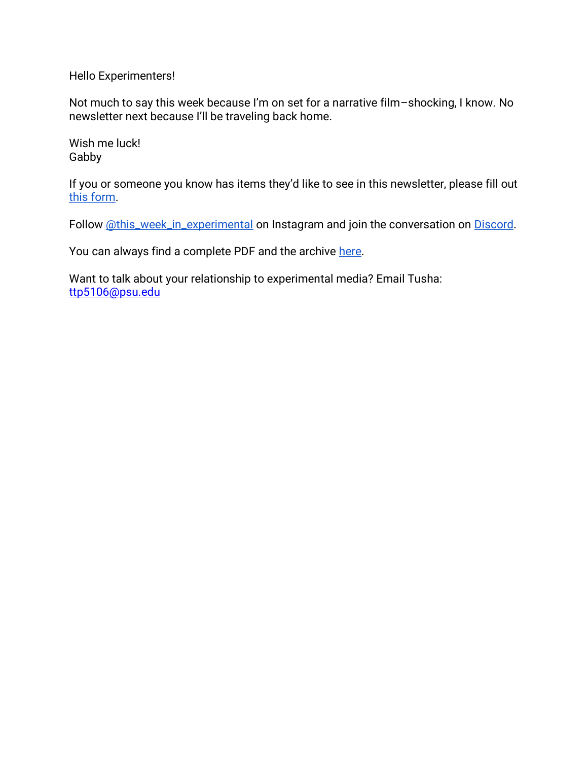Hello Experimenters!

Not much to say this week because I'm on set for a narrative film–shocking, I know. No newsletter next because I'll be traveling back home.

Wish me luck! Gabby

If you or someone you know has items they'd like to see in this newsletter, please fill out [this form.](https://forms.gle/aAtxrz2GTLAHzxNt7)

Follow [@this\\_week\\_in\\_experimental](https://www.instagram.com/this_week_in_experimental/) on Instagram and join the conversation on [Discord.](https://discord.gg/7dtZfbgemg)

You can always find a complete PDF and the archive [here.](https://www.gfollettsumney.com/this-week-in-experimental.html)

Want to talk about your relationship to experimental media? Email Tusha: [ttp5106@psu.edu](mailto:ttp5106@psu.edu)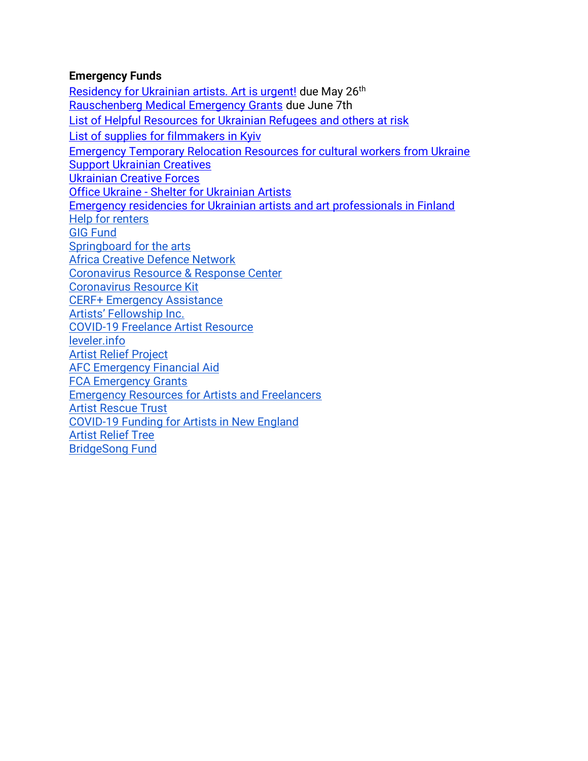#### **Emergency Funds**

[Residency for Ukrainian artists. Art is urgent!](https://www.karnekunst.com/residency-for-ukrainian-artists-art-is-urgent/?fbclid=IwAR0XUXSiEYd8vKiTfJ1DJI1wZcT59YWVjuCPfsMhwcfd6HkoCEU37pXJDKs) due May 26<sup>th</sup> [Rauschenberg Medical Emergency Grants](https://www.nyfa.org/awards-grants/rauschenberg-medical-emergency-grants/) due June 7th [List of Helpful Resources for Ukrainian Refugees and others at risk](http://oberliht.org/wp-content/uploads/2022/03/List-of-Helpful-Resources-for-Ukrainian-Refugees-and-others-at-risk.pdf) [List of supplies for filmmakers in Kyiv](https://docs.google.com/spreadsheets/d/1AoxkubXX1NVaAONJ27CwAndJxx8GvvYrQqswYYZMqIM/edit#gid=0) [Emergency Temporary Relocation Resources for cultural workers from Ukraine](https://docs.google.com/document/d/1zDP7jpiRj6M_NCTxY5P6A3IDjSaHLSvIsri-Vzb-A7g/edit?usp=sharing) [Support Ukrainian Creatives](https://docs.google.com/forms/d/e/1FAIpQLSc3vkx2iqH45Zl1aaNvlfVrLzf9I5is0vqAs0FZjoQWm-9IHw/viewform?fbclid=IwAR3VtgnvRUgF4VeKuelLqAfBoapxZZDtM157yV-WuKDkumi-qwaq_xqURfk) [Ukrainian Creative Forces](https://docs.google.com/forms/d/e/1FAIpQLSeMw87Reqj7ZlHyZxEf4cfZHgX5P5CLtjCY4LxujRheZRxzVQ/viewform) Office Ukraine - [Shelter for Ukrainian Artists](https://www.bmkoes.gv.at/Kunst-und-Kultur/Neuigkeiten/Office-Ukraine.html) [Emergency residencies for Ukrainian artists and art professionals in Finland](https://koneensaatio.fi/en/news/emergency-residencies/) [Help for renters](https://www.consumerfinance.gov/coronavirus/mortgage-and-housing-assistance/renter-protections/#rental-assistance) [GIG Fund](https://www.artsmidwest.org/programs/gigfund) [Springboard for the arts](https://springboardforthearts.org/coronavirus/) [Africa Creative Defence Network](https://artistsatriskconnection.org/story/amani-africa-creative-defence-network) [Coronavirus Resource & Response Center](https://www.americansforthearts.org/by-topic/disaster-preparedness/coronavirus-covid-19-resource-and-response-center#impact) [Coronavirus Resource Kit](https://docs.google.com/document/u/1/d/1Rcan4C_e6OBFBI5bUn7MtYK74Ab-WarxyJmDvZUI_YA/mobilebasic?urp=gmail_link) [CERF+ Emergency Assistance](https://cerfplus.org/get-relief/apply-for-help/craft-emergency-relief-fund/) [Artists' Fellowship Inc.](https://www.artistsfellowship.org/financial-aid-application) [COVID-19 Freelance Artist Resource](https://www.freelanceartistresource.com/) [leveler.info](https://www.leveler.info/) [Artist Relief Project](https://artistreliefproject.org/request_funding/) [AFC Emergency Financial Aid](https://afchelps.ca/covid-19-guide/) [FCA Emergency Grants](https://www.foundationforcontemporaryarts.org/grants/emergency-grants/) [Emergency Resources for Artists and Freelancers](https://docs.google.com/document/d/1xv238DlW_9HWhJTHr561r8fPaD4BSzOZraDOm2ESyeA/edit) [Artist Rescue Trust](https://artistrescue.org/?fbclid=IwAR2V26dcrdrAzARHGEgfMoo7ftKVU1vXh6pY_PJBAQAPeLo1IsgghDDUU0I) [COVID-19 Funding for Artists in New England](https://newenglandfilm.com/magazine/2020/04/covid-19-funding-for-artists-in-new-england) [Artist Relief Tree](https://artistrelieftree.com/helpful-resources/) [BridgeSong Fund](https://docs.google.com/forms/d/1yRXi5ehvyoJPXKmTx4tAfKU8agpoLHbW2Y-6MYT51eA/viewform?ts=5e7bf119&edit_requested=true)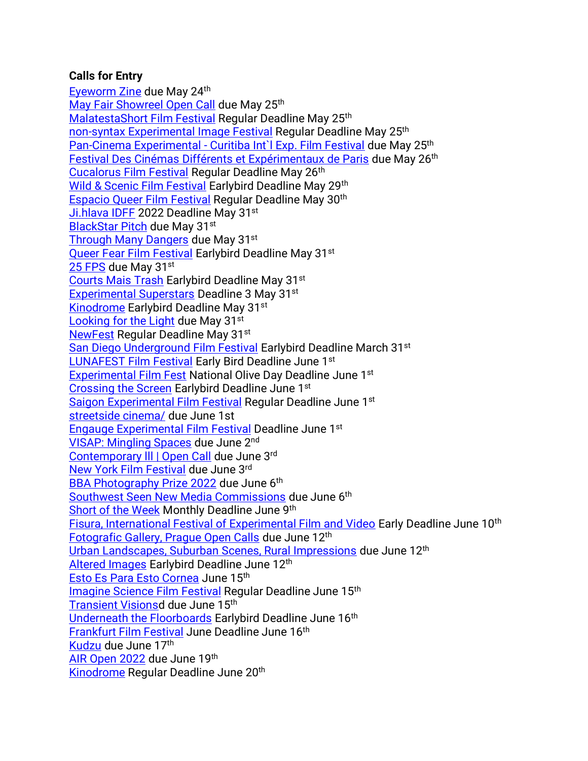### **Calls for Entry**

[Eyeworm Zine](https://www.instagram.com/p/Cc6CrkyuLyD/?utm_source=ig_web_copy_link) due May 24th [May Fair Showreel Open Call](https://docs.google.com/forms/d/e/1FAIpQLScQZl5rMqX5f6qH4W2vyWAq2TUWiLjU3UfmxYKrMvmKx9uk6A/viewform) due May 25<sup>th</sup> [MalatestaShort Film Festival](https://filmfreeway.com/MalatestaShortFilmFestival?fbclid=IwAR0DfOuptF_QZHhem0z1k8ey0PhOHa1wzPLXLeuM1omZHfu8Y6MplhEuqzU) Regular Deadline May 25th [non-syntax Experimental Image Festival](https://filmfreeway.com/non-syntax) Regular Deadline May 25<sup>th</sup> Pan-Cinema Experimental - [Curitiba Int`l Exp. Film Festival](https://filmfreeway.com/Pan-CinemaExperimental-CuritibaIntlExpFilmFestival) due May 25th [Festival Des Cinémas Différents et Expérimentaux de Paris](https://cjcinema.org/en/call-for-films/fcdep/?fbclid=IwAR3MZUJZkB4YnEWL1YE2PN7yonjB08xSiyg5EC0_TkllklZvTxXQpUJ1uto) due May 26<sup>th</sup> [Cucalorus Film Festival](https://filmfreeway.com/CucalorusFilmFestival) Regular Deadline May 26th [Wild & Scenic Film Festival](https://filmfreeway.com/WildScenicFilmFestival?action=show&controller=festivals&utm_campaign=Recently+Opened+for+Entries&utm_medium=email&utm_source=filmmaker_newsletter) Earlybird Deadline May 29<sup>th</sup> [Espacio Queer Film Festival](https://filmfreeway.com/EspacioQueerFilmFest) Regular Deadline May 30th [Ji.hlava IDFF](https://www.ji-hlava.com/prihlaseni-filmu) 2022 Deadline May 31st [BlackStar Pitch](https://blackstarfest.org/festival/pitch/) due May 31st [Through Many Dangers](https://www.analogforevermagazine.com/calls-for-entry/through-many-dangers-june-2022) due May 31st [Queer Fear Film Festival](https://filmfreeway.com/QueerFearFilmFestival) Earlybird Deadline May 31<sup>st</sup> [25 FPS](https://www.25fps.hr/en/entry-form) due May 31<sup>st</sup> [Courts Mais Trash](https://filmfreeway.com/CourtsMaisTrash) Earlybird Deadline May 31st [Experimental Superstars](https://filmfreeway.com/ExperimentalSuperstars?fbclid=IwAR2oWQx98KIYyakd42hts_Fwnwq3zhDqmX191M1Bj34bsa9NqihowVkTcFA) Deadline 3 May 31st [Kinodrome](https://filmfreeway.com/KinoDrome) Earlybird Deadline May 31<sup>st</sup> [Looking for the Light](https://www.photometria.gr/en/contests/photometria-awards/) due May 31st [NewFest](https://filmfreeway.com/NewFest) Regular Deadline May 31<sup>st</sup> [San Diego Underground Film Festival](https://filmfreeway.com/SanDiegoUndergroundFilmFestival) Earlybird Deadline March 31<sup>st</sup> [LUNAFEST Film Festival](https://filmfreeway.com/LUNAFEST?action=show&controller=festivals&utm_campaign=Recently+Opened+for+Entries&utm_medium=email&utm_source=filmmaker_newsletter) Early Bird Deadline June 1st [Experimental Film Fest](https://filmfreeway.com/ExperimentalFilmFest?fbclid=IwAR1KwVGbXb1TdLYzemNuM_RyUXq1kqddb_ojRZURnhlX-tY32amcSHllKeU) National Olive Day Deadline June 1st [Crossing the Screen](https://filmfreeway.com/Crossingthescreen) Earlybird Deadline June 1st [Saigon Experimental Film Festival](https://filmfreeway.com/SaigonExperimental) Regular Deadline June 1st [streetside cinema/](https://filmfreeway.com/streetsidecinema) due June 1st [Engauge Experimental Film Festival](https://filmfreeway.com/EngaugeExperimentalFilmFestival) Deadline June 1st [VISAP: Mingling Spaces](https://visap.net/?fbclid=IwAR3eZ6OA6H7RgBDcgC9ygirrqOlKLaaoGRtiPnSnNzvVPkU3O-A-Hc0hozs) due June 2nd Contemporary III | Open Call due June 3rd [New York Film Festival](https://filmfreeway.com/NYFF) due June 3rd [BBA Photography Prize 2022](https://bba-gallery.com/photography-prize) due June 6<sup>th</sup> [Southwest Seen New Media Commissions](https://mediacityfilmfestival.com/southwest-seen-commission-exhibition-call-for-proposals/) due June 6th [Short of the Week](https://filmfreeway.com/shortoftheweek) Monthly Deadline June 9th [Fisura, International Festival of Experimental Film and Video](https://filmfreeway.com/FISURAInternationalFilmFestival?fbclid=IwAR3iJlFVGCEMZq9SoP9f2It8A9hMkF3brJlEvHacUSoJ1YVbIluJcsXvulI) Early Deadline June 10<sup>th</sup> [Fotografic Gallery, Prague Open Calls](https://fotografic.cz/en/open-call/) due June 12th [Urban Landscapes, Suburban Scenes, Rural Impressions](https://www.nyc4pa.com/copy-of-decay-corrosion-rust) due June 12th [Altered Images](https://filmfreeway.com/AlteredImages?fbclid=IwAR303Zuvk4X7G_1Uj2KZ3ltYulh0WNk8vEmUyECj7c3yWiWFRLZatW8JoFI) Earlybird Deadline June 12<sup>th</sup> [Esto Es Para Esto Cornea](https://filmfreeway.com/EstoEsParaEsto) June 15<sup>th</sup> [Imagine Science Film Festival](https://filmfreeway.com/ImagineScienceFilmFestival) Regular Deadline June 15th [Transient Visionsd](https://filmfreeway.com/TransientVisions) due June 15th [Underneath the Floorboards](https://filmfreeway.com/MyFilmFestival-534726?fbclid=IwAR0F6CZJgpvTHp_1KMibmwE2mM_tddq6w5s8flWPFyNtLPQsW6G4763HPes) Earlybird Deadline June 16th [Frankfurt Film Festival](https://filmfreeway.com/filmfestfrankfurt) June Deadline June 16th [Kudzu](https://sfqp.info/kudcall) due June 17th [AIR Open 2022](https://www.airgallery.space/opencall?fbclid=IwAR22icSQr4srKuwkOHU8IlKdtEYOp-ftks40Gp4wYJbNPRKuOsMp1mQ2PHU) due June 19th [Kinodrome](https://filmfreeway.com/KinoDrome) Regular Deadline June 20<sup>th</sup>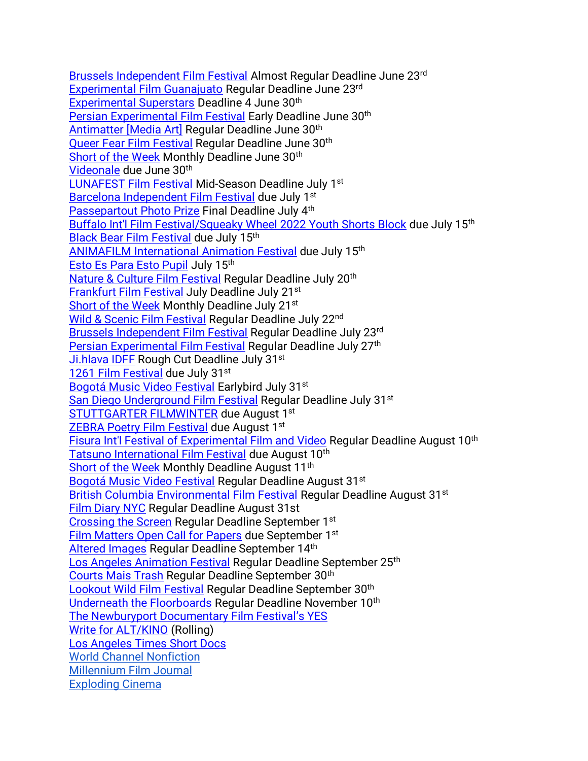[Brussels Independent Film Festival](https://filmfreeway.com/BrusselsFilmFestival) Almost Regular Deadline June 23rd [Experimental Film Guanajuato](https://filmfreeway.com/ExperimentalFilm) Regular Deadline June 23rd [Experimental Superstars](https://filmfreeway.com/ExperimentalSuperstars?fbclid=IwAR2oWQx98KIYyakd42hts_Fwnwq3zhDqmX191M1Bj34bsa9NqihowVkTcFA) Deadline 4 June 30<sup>th</sup> [Persian Experimental Film Festival](https://filmfreeway.com/persianexpfilmfest?fbclid=IwAR3k4gt3qoAHgKUnqPQNOaRgZcOAz9mvau1qG-i78xr5ZVMwJ1v-i4CJUQY) Early Deadline June 30<sup>th</sup> Antimatter [\[Media Art\]](https://filmfreeway.com/AntimatterMediaArt) Regular Deadline June 30th [Queer Fear Film Festival](https://filmfreeway.com/QueerFearFilmFestival) Regular Deadline June 30<sup>th</sup> [Short of the Week](https://filmfreeway.com/shortoftheweek) Monthly Deadline June 30<sup>th</sup> [Videonale](https://v19.videonale.org/en/call) due June 30th [LUNAFEST Film Festival](https://filmfreeway.com/LUNAFEST?action=show&controller=festivals&utm_campaign=Recently+Opened+for+Entries&utm_medium=email&utm_source=filmmaker_newsletter) Mid-Season Deadline July 1st [Barcelona Independent Film Festival](https://alternativa.cccb.org/2022/en/2022-call-for-entries/film-submissions) due July 1st [Passepartout Photo Prize](https://www.passepartoutprize.com/about/) Final Deadline July 4<sup>th</sup> [Buffalo Int'l Film Festival/Squeaky Wheel 2022 Youth Shorts Block](https://docs.google.com/forms/d/e/1FAIpQLSeNzjnpVORG4uEUNOcxV5-zLuMubBdlFNdbACI2WGcG1cmg5g/viewform) due July 15th [Black Bear Film Festival](https://filmfreeway.com/BlackBearFilmFestival) due July 15th [ANIMAFILM International Animation Festival](https://filmfreeway.com/ANIMAFILM-Baku_International_Animation_Festival) due July 15th [Esto Es Para Esto Pupil](https://filmfreeway.com/EstoEsParaEsto) July 15th [Nature & Culture Film Festival](https://filmfreeway.com/poeticphonotheque) Regular Deadline July 20th [Frankfurt Film Festival](https://filmfreeway.com/filmfestfrankfurt) July Deadline July 21st [Short of the Week](https://filmfreeway.com/shortoftheweek) Monthly Deadline July 21<sup>st</sup> [Wild & Scenic Film Festival](https://filmfreeway.com/WildScenicFilmFestival?action=show&controller=festivals&utm_campaign=Recently+Opened+for+Entries&utm_medium=email&utm_source=filmmaker_newsletter) Regular Deadline July 22<sup>nd</sup> [Brussels Independent Film Festival](https://filmfreeway.com/BrusselsFilmFestival) Regular Deadline July 23rd [Persian Experimental Film Festival](https://filmfreeway.com/persianexpfilmfest?fbclid=IwAR3k4gt3qoAHgKUnqPQNOaRgZcOAz9mvau1qG-i78xr5ZVMwJ1v-i4CJUQY) Regular Deadline July 27<sup>th</sup> [Ji.hlava IDFF](https://www.ji-hlava.com/prihlaseni-filmu) Rough Cut Deadline July 31<sup>st</sup> [1261 Film Festival](https://filmfreeway.com/1261FilmFestival?action=show&controller=festivals&utm_campaign=Recently+Opened+for+Entries&utm_medium=email&utm_source=filmmaker_newsletter) due July 31st [Bogotá Music Video Festival](https://filmfreeway.com/BMVF?action=show&controller=festivals&utm_campaign=Recently+Opened+for+Entries&utm_medium=email&utm_source=filmmaker_newsletter) Earlybird July 31<sup>st</sup> [San Diego Underground Film Festival](https://filmfreeway.com/SanDiegoUndergroundFilmFestival) Regular Deadline July 31<sup>st</sup> [STUTTGARTER FILMWINTER](https://filmwinter.de/en) due August 1st **[ZEBRA Poetry Film Festival](https://filmfreeway.com/ZEBRAPoetryFilmFestival?action=show&controller=festivals&utm_campaign=Recently+Opened+for+Entries&utm_medium=email&utm_source=filmmaker_newsletter) due August 1st** [Fisura Int'l Festival of Experimental Film and Video](https://filmfreeway.com/FISURAInternationalFilmFestival?fbclid=IwAR3iJlFVGCEMZq9SoP9f2It8A9hMkF3brJlEvHacUSoJ1YVbIluJcsXvulI) Regular Deadline August 10th [Tatsuno International Film Festival](https://filmfreeway.com/Tatsuno) due August 10<sup>th</sup> [Short of the Week](https://filmfreeway.com/shortoftheweek) Monthly Deadline August 11<sup>th</sup> [Bogotá Music Video Festival](https://filmfreeway.com/BMVF?action=show&controller=festivals&utm_campaign=Recently+Opened+for+Entries&utm_medium=email&utm_source=filmmaker_newsletter) Regular Deadline August 31<sup>st</sup> [British Columbia Environmental Film Festival](https://filmfreeway.com/BritishColumbiaEnvironmentalFilmFestivalBCEFF?action=show&controller=festivals&utm_campaign=British+Columbia+Environmental+Film+Festival&utm_medium=External&utm_source=Submission+Button) Regular Deadline August 31<sup>st</sup> [Film Diary NYC](https://filmfreeway.com/FilmDiary) Regular Deadline August 31st [Crossing the Screen](https://filmfreeway.com/Crossingthescreen) Regular Deadline September 1<sup>st</sup> [Film Matters Open Call for Papers](https://www.filmmattersmagazine.com/2022/04/04/open-call-for-papers-14-1/) due September 1<sup>st</sup> [Altered Images](https://filmfreeway.com/AlteredImages?fbclid=IwAR303Zuvk4X7G_1Uj2KZ3ltYulh0WNk8vEmUyECj7c3yWiWFRLZatW8JoFI) Regular Deadline September 14th [Los Angeles Animation Festival](https://filmfreeway.com/LAAF) Regular Deadline September 25<sup>th</sup> [Courts Mais Trash](https://filmfreeway.com/CourtsMaisTrash) Regular Deadline September 30th [Lookout Wild Film Festival](https://filmfreeway.com/LookoutWildFilmFestival) Regular Deadline September 30th [Underneath the Floorboards](https://filmfreeway.com/MyFilmFestival-534726?fbclid=IwAR0F6CZJgpvTHp_1KMibmwE2mM_tddq6w5s8flWPFyNtLPQsW6G4763HPes) Regular Deadline November 10<sup>th</sup> [The Newburyport Documentary Film Festival](https://www.nbptdocufest.org/festival/yes-film-submissions)'s YES [Write for ALT/KINO](https://www.altkino.com/write-for-us) (Rolling) [Los Angeles Times Short Docs](https://www.latimes.com/about/short-docs/story/2022-01-05/short-docs-submission-form?fbclid=IwAR2kBZ4XtBO-Kw8HE5RHd_1iqA37uspVgOroBF77fLnm0pRAPsPFAE8l5Bs) [World Channel Nonfiction](https://worldchannel.org/submit/filmmaker/) [Millennium Film Journal](https://millenniumfilmjournal.com/submissions/) [Exploding Cinema](https://explodingcinema.org/2020/submit-film/)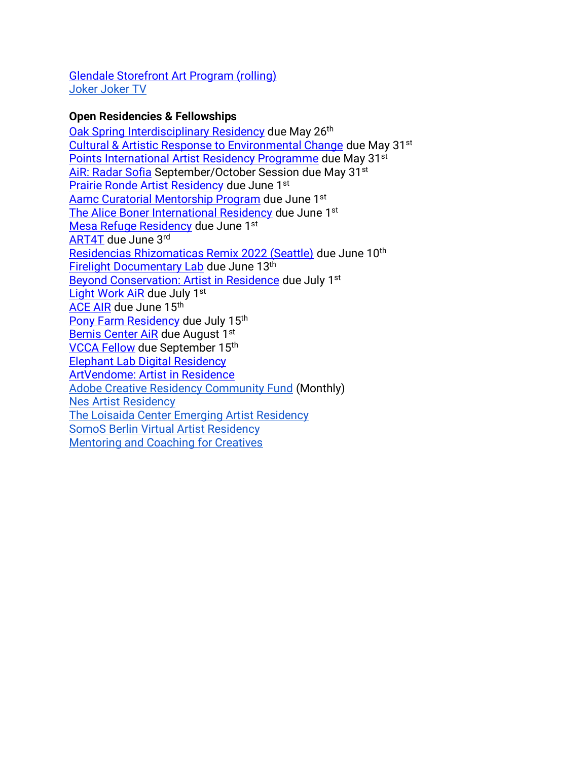[Glendale Storefront Art Program \(rolling\)](https://www.glendaleca.gov/government/departments/library-arts-culture/arts-culture-commission/storefront-art-program-artist-application) [Joker Joker TV](http://jokerjokertv.com/submit/?fbclid=IwAR2sJ1ia0y_CTjVkhRp940ItD3O-6ZxbpUdzjq40jT_XcyMJUWPIlJil53Y)

## **Open Residencies & Fellowships**

[Oak Spring Interdisciplinary Residency](https://www.osgf.org/residencies/interdisciplinary-residency) due May 26<sup>th</sup> [Cultural & Artistic Response to Environmental Change](https://princeclausfund.org/open-calls/open-call-mentorship-awards-with-goethe-institut-2022) due May 31st [Points International Artist Residency Programme](https://www.troyhouseart.org/open-call-2022?fbclid=IwAR1mHp8FeOj55F1VIeF2oDnSXoBdPed_FKT9nZJ74XHdLdxy0C6lAP98r94) due May 31<sup>st</sup> [AiR: Radar Sofia](https://docs.google.com/forms/d/e/1FAIpQLSf3qPaqHZHPb_gtNiqOkhXMEub-5HUeUZhfUF7nD1I5ZX8ouA/viewform?fbclid=IwAR11PCb9g-q0OXE8cqxjJiFZmeUIb-F_jzAnSQTPbdOiSz8xqd7BtKpQ9Eg) September/October Session due May 31<sup>st</sup> [Prairie Ronde Artist Residency](https://prairierondeartistresidency.slideroom.com/#/login/program/66067) due June 1st [Aamc Curatorial Mentorship Program](https://www.artcurators.org/page/Mentorship) due June 1st [The Alice Boner International Residency](https://www.goethe.de/ins/in/en/kul/art/aus/abr.html?fbclid=IwAR15k5OR8nJCSLKwM1D4GF6NLzt8TRx5kI7PvG8T6I55PZ1cc87gOi2qJW4) due June 1<sup>st</sup> [Mesa Refuge Residency](https://mesarefuge.org/residencies/application/) due June 1<sup>st</sup> [ART4T](https://www.associazionemeno.org/art4t-the-call-for-artists/) due June 3rd [Residencias Rhizomaticas Remix 2022 \(Seattle\)](https://docs.google.com/forms/d/e/1FAIpQLSdW0ytHbzN5Qp1rgIYfPTCI_r6iLD8ogABA1HpQXC1N97cwyg/viewform) due June 10<sup>th</sup> **[Firelight Documentary Lab](https://www.firelightmedia.tv/programs/documentary-lab) due June 13th** [Beyond Conservation: Artist in Residence](https://www.studioverdeair.com/applyperu) due July 1<sup>st</sup> [Light Work AiR](https://lightwork.slideroom.com/#/login/program/61227) due July 1st [ACE AIR](https://altacommunity.org/artist-in-residence) due June 15th [Pony Farm Residency](https://www.theponyfarm.com/open-call) due July 15th [Bemis Center AiR](https://bemis.slideroom.com/#/login) due August 1st [VCCA Fellow](https://www.vcca.com/apply/) due September 15th [Elephant Lab Digital Residency](https://elephant.art/lab/) [ArtVendome: Artist in Residence](https://www.vendomehotel.com/artvendome) [Adobe Creative Residency Community Fund](https://adobe.smapply.io/prog/adobe_creative_residency_community_fund_/) (Monthly) [Nes Artist Residency](https://docs.google.com/forms/d/e/1FAIpQLSfbokgQ5Jq5ZYa9y87lK9xq7n0yOJq8flXXNTNovTf2MRYg1w/viewform?formkey=dGM1OUN1R2xwYWl6eDgzZXJmU2YtVEE6MQ) The [Loisaida Center Emerging Artist Residency](https://docs.google.com/forms/d/e/1FAIpQLSdlETDquK-aDjonTcv-93WfUch04Bt0PLLYply6JxsmDzOfeA/viewform) [SomoS Berlin Virtual Artist Residency](https://www.somos-arts.org/somos-berlin-virtual-artist-residency/?fbclid=IwAR3hGjPBwOPyqSVfwDXjZx30jYu0cAD7YoPoXntyJXMapUVrRRHkIm9pbyQ) [Mentoring and Coaching for Creatives](https://www.artistmentor.co.uk/registration-and-booking/)